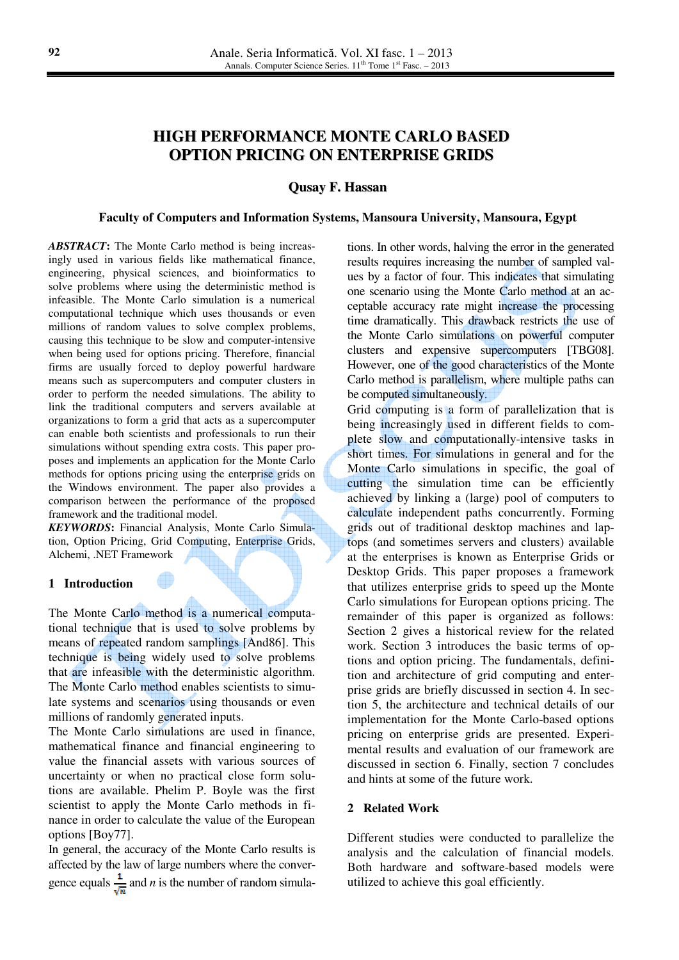# **HIGH PERFORMANCE MONTE CARLO BASED OPTION PRICING ON ENTERPRISE GRIDS**

**Qusay F. Hassan**

#### **Faculty of Computers and Information Systems, Mansoura University, Mansoura, Egypt**

*ABSTRACT***:** The Monte Carlo method is being increasingly used in various fields like mathematical finance, engineering, physical sciences, and bioinformatics to solve problems where using the deterministic method is infeasible. The Monte Carlo simulation is a numerical computational technique which uses thousands or even millions of random values to solve complex problems, causing this technique to be slow and computer-intensive when being used for options pricing. Therefore, financial firms are usually forced to deploy powerful hardware means such as supercomputers and computer clusters in order to perform the needed simulations. The ability to link the traditional computers and servers available at organizations to form a grid that acts as a supercomputer can enable both scientists and professionals to run their simulations without spending extra costs. This paper proposes and implements an application for the Monte Carlo methods for options pricing using the enterprise grids on the Windows environment. The paper also provides a comparison between the performance of the proposed framework and the traditional model.

*KEYWORDS***:** Financial Analysis, Monte Carlo Simulation, Option Pricing, Grid Computing, Enterprise Grids, Alchemi, .NET Framework

#### **1 Introduction**

The Monte Carlo method is a numerical computational technique that is used to solve problems by means of repeated random samplings [And86]. This technique is being widely used to solve problems that are infeasible with the deterministic algorithm. The Monte Carlo method enables scientists to simulate systems and scenarios using thousands or even millions of randomly generated inputs.

The Monte Carlo simulations are used in finance, mathematical finance and financial engineering to value the financial assets with various sources of uncertainty or when no practical close form solutions are available. Phelim P. Boyle was the first scientist to apply the Monte Carlo methods in finance in order to calculate the value of the European options [Boy77].

In general, the accuracy of the Monte Carlo results is affected by the law of large numbers where the convergence equals  $\frac{1}{\sqrt{n}}$  and *n* is the number of random simulations. In other words, halving the error in the generated results requires increasing the number of sampled values by a factor of four. This indicates that simulating one scenario using the Monte Carlo method at an acceptable accuracy rate might increase the processing time dramatically. This drawback restricts the use of the Monte Carlo simulations on powerful computer clusters and expensive supercomputers [TBG08]. However, one of the good characteristics of the Monte Carlo method is parallelism, where multiple paths can be computed simultaneously.

Grid computing is a form of parallelization that is being increasingly used in different fields to complete slow and computationally-intensive tasks in short times. For simulations in general and for the Monte Carlo simulations in specific, the goal of cutting the simulation time can be efficiently achieved by linking a (large) pool of computers to calculate independent paths concurrently. Forming grids out of traditional desktop machines and laptops (and sometimes servers and clusters) available at the enterprises is known as Enterprise Grids or Desktop Grids. This paper proposes a framework that utilizes enterprise grids to speed up the Monte Carlo simulations for European options pricing. The remainder of this paper is organized as follows: Section 2 gives a historical review for the related work. Section 3 introduces the basic terms of options and option pricing. The fundamentals, definition and architecture of grid computing and enterprise grids are briefly discussed in section 4. In section 5, the architecture and technical details of our implementation for the Monte Carlo-based options pricing on enterprise grids are presented. Experimental results and evaluation of our framework are discussed in section 6. Finally, section 7 concludes and hints at some of the future work.

#### **2 Related Work**

Different studies were conducted to parallelize the analysis and the calculation of financial models. Both hardware and software-based models were utilized to achieve this goal efficiently.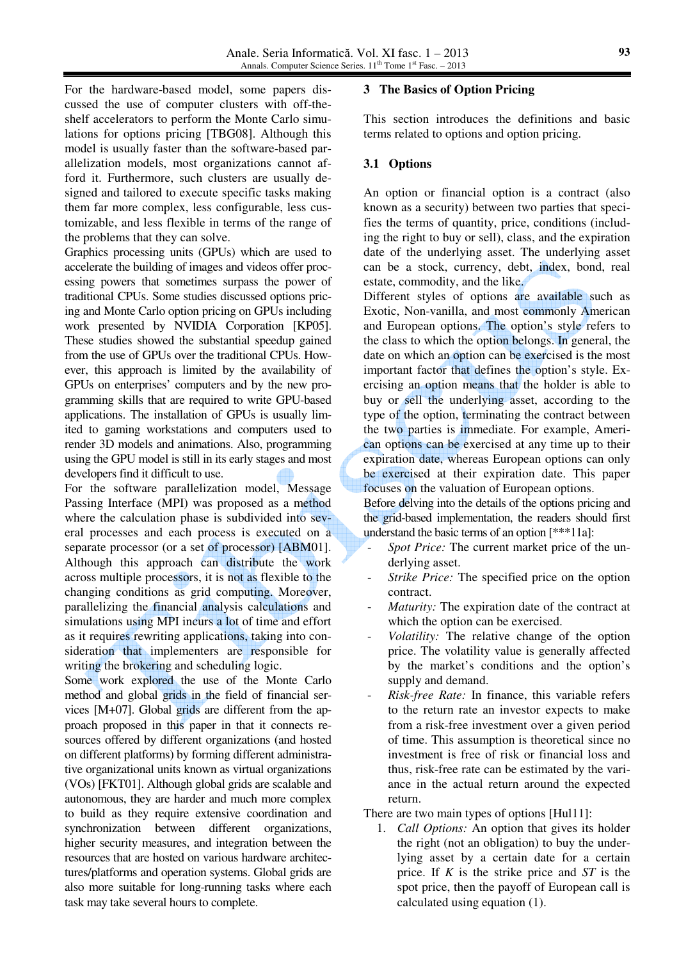For the hardware-based model, some papers discussed the use of computer clusters with off-theshelf accelerators to perform the Monte Carlo simulations for options pricing [TBG08]. Although this model is usually faster than the software-based parallelization models, most organizations cannot afford it. Furthermore, such clusters are usually designed and tailored to execute specific tasks making them far more complex, less configurable, less customizable, and less flexible in terms of the range of the problems that they can solve.

Graphics processing units (GPUs) which are used to accelerate the building of images and videos offer processing powers that sometimes surpass the power of traditional CPUs. Some studies discussed options pricing and Monte Carlo option pricing on GPUs including work presented by NVIDIA Corporation [KP05]. These studies showed the substantial speedup gained from the use of GPUs over the traditional CPUs. However, this approach is limited by the availability of GPUs on enterprises' computers and by the new programming skills that are required to write GPU-based applications. The installation of GPUs is usually limited to gaming workstations and computers used to render 3D models and animations. Also, programming using the GPU model is still in its early stages and most developers find it difficult to use.

For the software parallelization model, Message Passing Interface (MPI) was proposed as a method where the calculation phase is subdivided into several processes and each process is executed on a separate processor (or a set of processor) [ABM01]. Although this approach can distribute the work across multiple processors, it is not as flexible to the changing conditions as grid computing. Moreover, parallelizing the financial analysis calculations and simulations using MPI incurs a lot of time and effort as it requires rewriting applications, taking into consideration that implementers are responsible for writing the brokering and scheduling logic.

Some work explored the use of the Monte Carlo method and global grids in the field of financial services [M+07]. Global grids are different from the approach proposed in this paper in that it connects resources offered by different organizations (and hosted on different platforms) by forming different administrative organizational units known as virtual organizations (VOs) [FKT01]. Although global grids are scalable and autonomous, they are harder and much more complex to build as they require extensive coordination and synchronization between different organizations, higher security measures, and integration between the resources that are hosted on various hardware architectures/platforms and operation systems. Global grids are also more suitable for long-running tasks where each task may take several hours to complete.

#### **3 The Basics of Option Pricing**

This section introduces the definitions and basic terms related to options and option pricing.

### **3.1 Options**

An option or financial option is a contract (also known as a security) between two parties that specifies the terms of quantity, price, conditions (including the right to buy or sell), class, and the expiration date of the underlying asset. The underlying asset can be a stock, currency, debt, index, bond, real estate, commodity, and the like.

Different styles of options are available such as Exotic, Non-vanilla, and most commonly American and European options. The option's style refers to the class to which the option belongs. In general, the date on which an option can be exercised is the most important factor that defines the option's style. Exercising an option means that the holder is able to buy or sell the underlying asset, according to the type of the option, terminating the contract between the two parties is immediate. For example, American options can be exercised at any time up to their expiration date, whereas European options can only be exercised at their expiration date. This paper focuses on the valuation of European options.

Before delving into the details of the options pricing and the grid-based implementation, the readers should first understand the basic terms of an option [\*\*\*11a]:

- *Spot Price:* The current market price of the underlying asset.
- *Strike Price:* The specified price on the option contract.
- *Maturity:* The expiration date of the contract at which the option can be exercised.
- *Volatility:* The relative change of the option price. The volatility value is generally affected by the market's conditions and the option's supply and demand.
- *Risk-free Rate:* In finance, this variable refers to the return rate an investor expects to make from a risk-free investment over a given period of time. This assumption is theoretical since no investment is free of risk or financial loss and thus, risk-free rate can be estimated by the variance in the actual return around the expected return.

There are two main types of options [Hul11]:

1. *Call Options:* An option that gives its holder the right (not an obligation) to buy the underlying asset by a certain date for a certain price. If *K* is the strike price and *ST* is the spot price, then the payoff of European call is calculated using equation (1).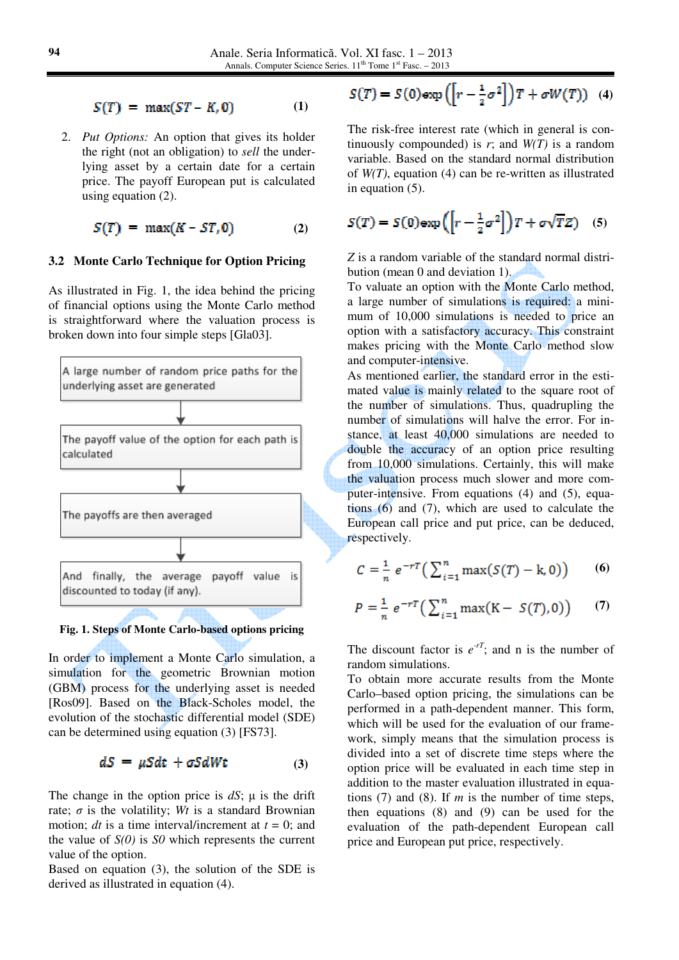$S(T) = max(ST - K, 0)$ **(1)** 

2. *Put Options:* An option that gives its holder the right (not an obligation) to *sell* the underlying asset by a certain date for a certain price. The payoff European put is calculated using equation (2).

$$
S(T) = \max(K - ST, 0) \tag{2}
$$

#### **3.2 Monte Carlo Technique for Option Pricing**

As illustrated in Fig. 1, the idea behind the pricing of financial options using the Monte Carlo method is straightforward where the valuation process is broken down into four simple steps [Gla03].



**Fig. 1. Steps of Monte Carlo-based options pricing**

In order to implement a Monte Carlo simulation, a simulation for the geometric Brownian motion (GBM) process for the underlying asset is needed [Ros09]. Based on the Black-Scholes model, the evolution of the stochastic differential model (SDE) can be determined using equation (3) [FS73].

$$
dS = \mu S dt + \sigma S dWt \tag{3}
$$

The change in the option price is  $dS$ ;  $\mu$  is the drift rate;  $\sigma$  is the volatility; *Wt* is a standard Brownian motion; *dt* is a time interval/increment at  $t = 0$ ; and the value of *S(0)* is *S0* which represents the current value of the option.

Based on equation (3), the solution of the SDE is derived as illustrated in equation (4).

$$
S(T) = S(0) \exp\left(\left[r - \frac{1}{2}\sigma^2\right]\right)T + \sigma W(T)) \quad (4)
$$

The risk-free interest rate (which in general is continuously compounded) is  $r$ ; and  $W(T)$  is a random variable. Based on the standard normal distribution of *W(T)*, equation (4) can be re-written as illustrated in equation (5).

$$
S(T) = S(0) \exp\left(\left[r - \frac{1}{2}\sigma^2\right]\right)T + \sigma\sqrt{T}Z\right) \quad (5)
$$

*Z* is a random variable of the standard normal distribution (mean 0 and deviation 1).

To valuate an option with the Monte Carlo method, a large number of simulations is required: a minimum of 10,000 simulations is needed to price an option with a satisfactory accuracy. This constraint makes pricing with the Monte Carlo method slow and computer-intensive.

As mentioned earlier, the standard error in the estimated value is mainly related to the square root of the number of simulations. Thus, quadrupling the number of simulations will halve the error. For instance, at least 40,000 simulations are needed to double the accuracy of an option price resulting from 10,000 simulations. Certainly, this will make the valuation process much slower and more computer-intensive. From equations (4) and (5), equations  $(6)$  and  $(7)$ , which are used to calculate the European call price and put price, can be deduced, respectively.

$$
C = \frac{1}{n} e^{-rT} \left( \sum_{i=1}^{n} \max(S(T) - k, 0) \right) \tag{6}
$$

$$
P = \frac{1}{n} e^{-rT} \left( \sum_{i=1}^{n} \max(K - S(T), 0) \right) \tag{7}
$$

The discount factor is  $e^{-rT}$ ; and n is the number of random simulations.

To obtain more accurate results from the Monte Carlo–based option pricing, the simulations can be performed in a path-dependent manner. This form, which will be used for the evaluation of our framework, simply means that the simulation process is divided into a set of discrete time steps where the option price will be evaluated in each time step in addition to the master evaluation illustrated in equations (7) and (8). If *m* is the number of time steps, then equations (8) and (9) can be used for the evaluation of the path-dependent European call price and European put price, respectively.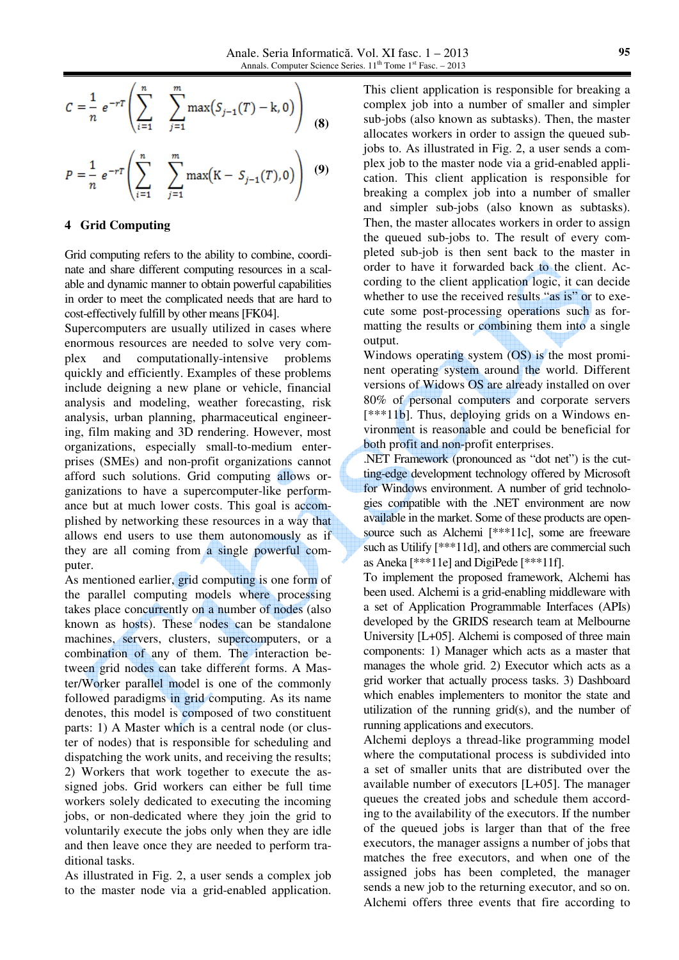$$
C = \frac{1}{n} e^{-rT} \left( \sum_{i=1}^{n} \sum_{j=1}^{m} \max(S_{j-1}(T) - k, 0) \right)
$$
 (8)

$$
P = \frac{1}{n} e^{-rT} \left( \sum_{i=1}^{n} \sum_{j=1}^{m} \max(K - S_{j-1}(T), 0) \right) (9)
$$

#### **4 Grid Computing**

Grid computing refers to the ability to combine, coordinate and share different computing resources in a scalable and dynamic manner to obtain powerful capabilities in order to meet the complicated needs that are hard to cost-effectively fulfill by other means [FK04].

Supercomputers are usually utilized in cases where enormous resources are needed to solve very complex and computationally-intensive problems quickly and efficiently. Examples of these problems include deigning a new plane or vehicle, financial analysis and modeling, weather forecasting, risk analysis, urban planning, pharmaceutical engineering, film making and 3D rendering. However, most organizations, especially small-to-medium enterprises (SMEs) and non-profit organizations cannot afford such solutions. Grid computing allows organizations to have a supercomputer-like performance but at much lower costs. This goal is accomplished by networking these resources in a way that allows end users to use them autonomously as if they are all coming from a single powerful computer.

As mentioned earlier, grid computing is one form of the parallel computing models where processing takes place concurrently on a number of nodes (also known as hosts). These nodes can be standalone machines, servers, clusters, supercomputers, or a combination of any of them. The interaction between grid nodes can take different forms. A Master/Worker parallel model is one of the commonly followed paradigms in grid computing. As its name denotes, this model is composed of two constituent parts: 1) A Master which is a central node (or cluster of nodes) that is responsible for scheduling and dispatching the work units, and receiving the results; 2) Workers that work together to execute the assigned jobs. Grid workers can either be full time workers solely dedicated to executing the incoming jobs, or non-dedicated where they join the grid to voluntarily execute the jobs only when they are idle and then leave once they are needed to perform traditional tasks.

As illustrated in Fig. 2, a user sends a complex job to the master node via a grid-enabled application.

This client application is responsible for breaking a complex job into a number of smaller and simpler sub-jobs (also known as subtasks). Then, the master allocates workers in order to assign the queued subjobs to. As illustrated in Fig. 2, a user sends a complex job to the master node via a grid-enabled application. This client application is responsible for breaking a complex job into a number of smaller and simpler sub-jobs (also known as subtasks). Then, the master allocates workers in order to assign the queued sub-jobs to. The result of every completed sub-job is then sent back to the master in order to have it forwarded back to the client. According to the client application logic, it can decide whether to use the received results "as is" or to execute some post-processing operations such as formatting the results or combining them into a single output.

Windows operating system (OS) is the most prominent operating system around the world. Different versions of Widows OS are already installed on over 80% of personal computers and corporate servers [\*\*\*11b]. Thus, deploying grids on a Windows environment is reasonable and could be beneficial for both profit and non-profit enterprises.

.NET Framework (pronounced as "dot net") is the cutting-edge development technology offered by Microsoft for Windows environment. A number of grid technologies compatible with the .NET environment are now available in the market. Some of these products are opensource such as Alchemi [\*\*\*11c], some are freeware such as Utilify [\*\*\*11d], and others are commercial such as Aneka [\*\*\*11e] and DigiPede [\*\*\*11f].

To implement the proposed framework, Alchemi has been used. Alchemi is a grid-enabling middleware with a set of Application Programmable Interfaces (APIs) developed by the GRIDS research team at Melbourne University [L+05]. Alchemi is composed of three main components: 1) Manager which acts as a master that manages the whole grid. 2) Executor which acts as a grid worker that actually process tasks. 3) Dashboard which enables implementers to monitor the state and utilization of the running grid(s), and the number of running applications and executors.

Alchemi deploys a thread-like programming model where the computational process is subdivided into a set of smaller units that are distributed over the available number of executors [L+05]. The manager queues the created jobs and schedule them according to the availability of the executors. If the number of the queued jobs is larger than that of the free executors, the manager assigns a number of jobs that matches the free executors, and when one of the assigned jobs has been completed, the manager sends a new job to the returning executor, and so on. Alchemi offers three events that fire according to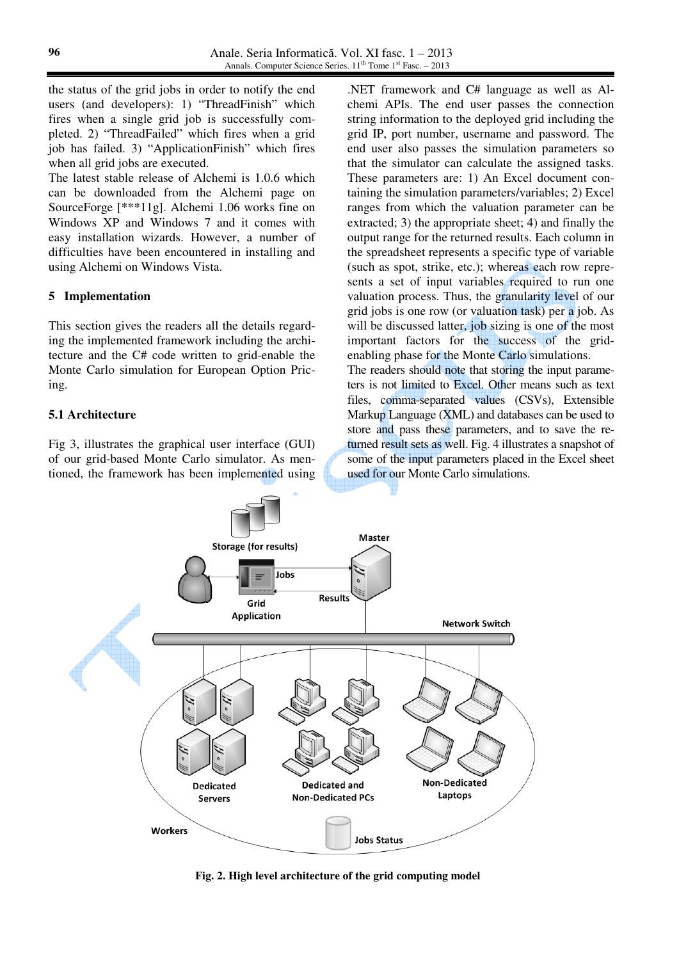the status of the grid jobs in order to notify the end users (and developers): 1) "ThreadFinish" which fires when a single grid job is successfully completed. 2) "ThreadFailed" which fires when a grid job has failed. 3) "ApplicationFinish" which fires when all grid jobs are executed.

The latest stable release of Alchemi is 1.0.6 which can be downloaded from the Alchemi page on SourceForge [\*\*\*11g]. Alchemi 1.06 works fine on Windows XP and Windows 7 and it comes with easy installation wizards. However, a number of difficulties have been encountered in installing and using Alchemi on Windows Vista.

#### **5 Implementation**

This section gives the readers all the details regarding the implemented framework including the architecture and the C# code written to grid-enable the Monte Carlo simulation for European Option Pricing.

### **5.1 Architecture**

Fig 3, illustrates the graphical user interface (GUI) of our grid-based Monte Carlo simulator. As mentioned, the framework has been implemented using

.NET framework and C# language as well as Alchemi APIs. The end user passes the connection string information to the deployed grid including the grid IP, port number, username and password. The end user also passes the simulation parameters so that the simulator can calculate the assigned tasks. These parameters are: 1) An Excel document containing the simulation parameters/variables; 2) Excel ranges from which the valuation parameter can be extracted; 3) the appropriate sheet; 4) and finally the output range for the returned results. Each column in the spreadsheet represents a specific type of variable (such as spot, strike, etc.); whereas each row represents a set of input variables required to run one valuation process. Thus, the granularity level of our grid jobs is one row (or valuation task) per a job. As will be discussed latter, job sizing is one of the most important factors for the success of the gridenabling phase for the Monte Carlo simulations.

The readers should note that storing the input parameters is not limited to Excel. Other means such as text files, comma-separated values (CSVs), Extensible Markup Language (XML) and databases can be used to store and pass these parameters, and to save the returned result sets as well. Fig. 4 illustrates a snapshot of some of the input parameters placed in the Excel sheet used for our Monte Carlo simulations.



**Fig. 2. High level architecture of the grid computing model**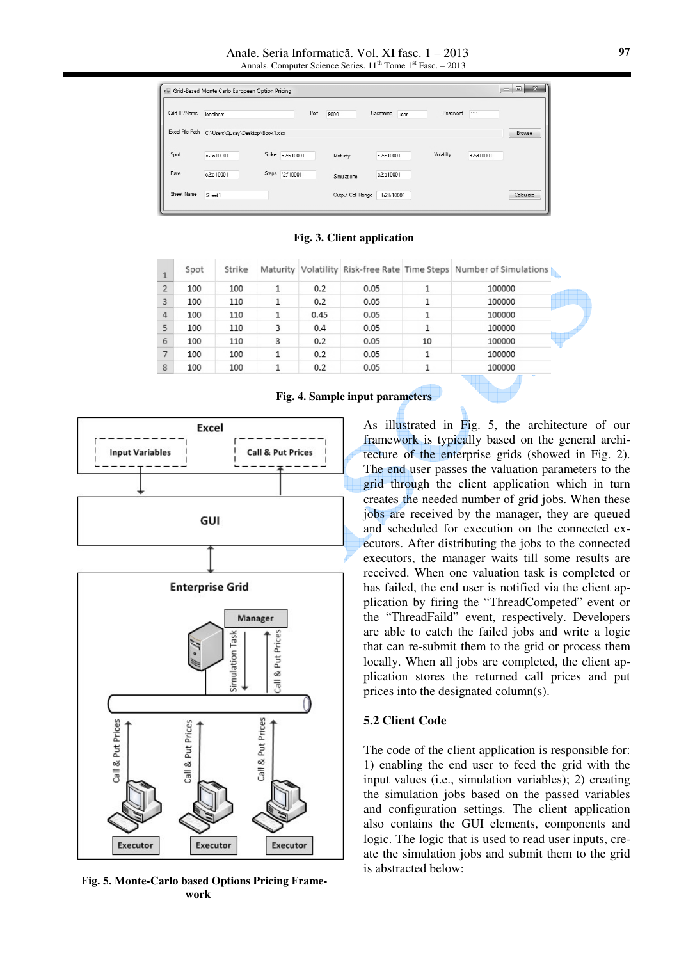Anale. Seria Informatică. Vol. XI fasc. 1 – 2013 Annals. Computer Science Series.  $11<sup>th</sup>$  Tome  $1<sup>st</sup>$  Fasc. – 2013

| Grid IP/Name    | localhost                        |        | Port      | 9000              | Usemame<br>user | Password   | $\cdots$  |           |
|-----------------|----------------------------------|--------|-----------|-------------------|-----------------|------------|-----------|-----------|
| Excel File Path | C:\Users\Qusay\Desktop\Book1xlsx |        |           |                   |                 |            |           | Browse    |
| Spot            | a2:a10001                        | Strike | b2:b10001 | Maturity          | c2:c10001       | Volatility | d2:d10001 |           |
| Rate            | e2:e10001                        | Steps  | F2f10001  | Simulations       | g2:g10001       |            |           |           |
| Sheet Name      | Sheet1                           |        |           | Output Cell Range | h2:h10001       |            |           | Calculate |

**Fig. 3. Client application** 

| $\mathbf{1}$   | Spot | Strike |   |      |      |    | Maturity   Volatility   Risk-free Rate   Time Steps   Number of Simulations |
|----------------|------|--------|---|------|------|----|-----------------------------------------------------------------------------|
| $\overline{2}$ | 100  | 100    | 1 | 0.2  | 0.05 |    | 100000                                                                      |
| 3              | 100  | 110    |   | 0.2  | 0.05 |    | 100000                                                                      |
| $\overline{4}$ | 100  | 110    |   | 0.45 | 0.05 | 1  | 100000                                                                      |
| 5              | 100  | 110    | 3 | 0.4  | 0.05 | 1  | 100000                                                                      |
| 6              | 100  | 110    | 3 | 0.2  | 0.05 | 10 | 100000                                                                      |
| 7              | 100  | 100    |   | 0.2  | 0.05 | 1  | 100000                                                                      |
| 8              | 100  | 100    |   | 0.2  | 0.05 |    | 100000                                                                      |





**Fig. 5. Monte-Carlo based Options Pricing Framework** 

As illustrated in Fig. 5, the architecture of our framework is typically based on the general architecture of the enterprise grids (showed in Fig. 2). The end user passes the valuation parameters to the grid through the client application which in turn creates the needed number of grid jobs. When these jobs are received by the manager, they are queued and scheduled for execution on the connected executors. After distributing the jobs to the connected executors, the manager waits till some results are received. When one valuation task is completed or has failed, the end user is notified via the client application by firing the "ThreadCompeted" event or the "ThreadFaild" event, respectively. Developers are able to catch the failed jobs and write a logic that can re-submit them to the grid or process them locally. When all jobs are completed, the client application stores the returned call prices and put prices into the designated column(s).

#### **5.2 Client Code**

The code of the client application is responsible for: 1) enabling the end user to feed the grid with the input values (i.e., simulation variables); 2) creating the simulation jobs based on the passed variables and configuration settings. The client application also contains the GUI elements, components and logic. The logic that is used to read user inputs, create the simulation jobs and submit them to the grid is abstracted below: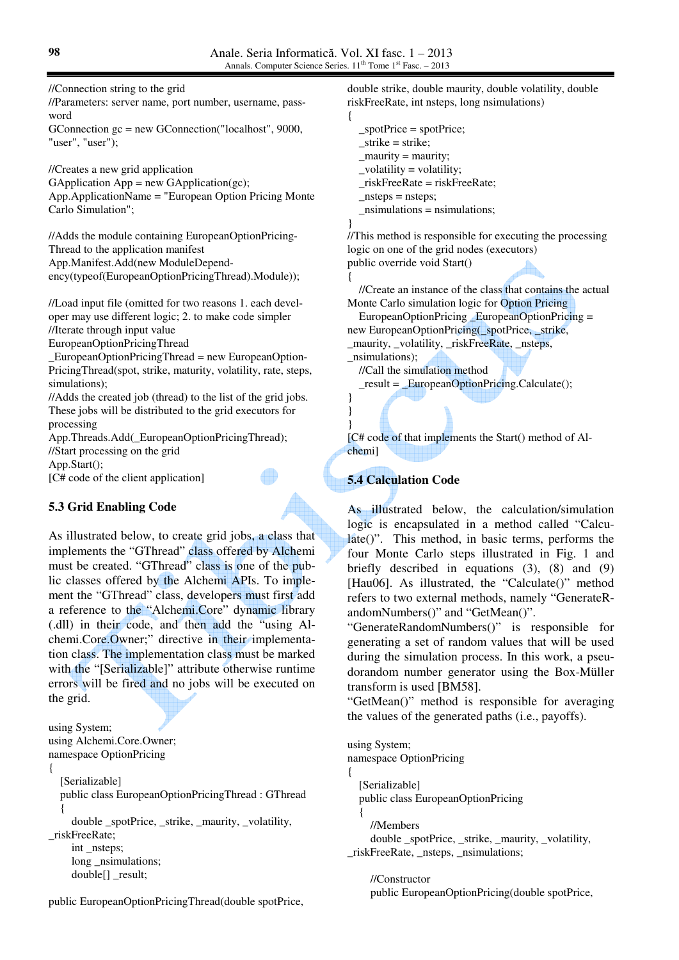//Connection string to the grid

//Parameters: server name, port number, username, password

GConnection gc = new GConnection("localhost", 9000, "user", "user");

//Creates a new grid application GApplication App = new GApplication(gc); App.ApplicationName = "European Option Pricing Monte Carlo Simulation";

//Adds the module containing EuropeanOptionPricing-Thread to the application manifest App.Manifest.Add(new ModuleDependency(typeof(EuropeanOptionPricingThread).Module));

//Load input file (omitted for two reasons 1. each developer may use different logic; 2. to make code simpler //Iterate through input value

EuropeanOptionPricingThread

\_EuropeanOptionPricingThread = new EuropeanOption-PricingThread(spot, strike, maturity, volatility, rate, steps, simulations);

//Adds the created job (thread) to the list of the grid jobs. These jobs will be distributed to the grid executors for processing

App.Threads.Add(\_EuropeanOptionPricingThread); //Start processing on the grid App.Start();

[C# code of the client application]

## **5.3 Grid Enabling Code**

As illustrated below, to create grid jobs, a class that implements the "GThread" class offered by Alchemi must be created. "GThread" class is one of the public classes offered by the Alchemi APIs. To implement the "GThread" class, developers must first add a reference to the "Alchemi.Core" dynamic library (.dll) in their code, and then add the "using Alchemi.Core.Owner;" directive in their implementation class. The implementation class must be marked with the "[Serializable]" attribute otherwise runtime errors will be fired and no jobs will be executed on the grid.

```
using System; 
using Alchemi.Core.Owner; 
namespace OptionPricing 
{ 
   [Serializable] 
   public class EuropeanOptionPricingThread : GThread 
 { 
      double _spotPrice, _strike, _maurity, _volatility, 
_riskFreeRate; 
     int nsteps;
     long _nsimulations;
      double[] _result;
```
public EuropeanOptionPricingThread(double spotPrice,

double strike, double maurity, double volatility, double riskFreeRate, int nsteps, long nsimulations)

```
 _spotPrice = spotPrice; 
_ _strike = strike;
```
- $_$ <u>maurity</u>:
- \_volatility = volatility;
- \_riskFreeRate = riskFreeRate;
- $nsteps = nsteps;$
- $nsimulations = nsimulations;$
- }

{

} }

{

//This method is responsible for executing the processing logic on one of the grid nodes (executors) public override void Start()

 //Create an instance of the class that contains the actual Monte Carlo simulation logic for Option Pricing

EuropeanOptionPricing EuropeanOptionPricing = new EuropeanOptionPricing(\_spotPrice, \_strike,

\_maurity, \_volatility, \_riskFreeRate, \_nsteps,

\_nsimulations);

//Call the simulation method

\_result = \_EuropeanOptionPricing.Calculate();

} [C# code of that implements the Start() method of Alchemi]

# **5.4 Calculation Code**

As illustrated below, the calculation/simulation logic is encapsulated in a method called "Calculate()". This method, in basic terms, performs the four Monte Carlo steps illustrated in Fig. 1 and briefly described in equations (3), (8) and (9) [Hau06]. As illustrated, the "Calculate()" method refers to two external methods, namely "GenerateRandomNumbers()" and "GetMean()".

"GenerateRandomNumbers()" is responsible for generating a set of random values that will be used during the simulation process. In this work, a pseudorandom number generator using the Box-Müller transform is used [BM58].

"GetMean()" method is responsible for averaging the values of the generated paths (i.e., payoffs).

using System; namespace OptionPricing { [Serializable] public class EuropeanOptionPricing  $\{$  //Members double \_spotPrice, \_strike, \_maurity, \_volatility, \_riskFreeRate, \_nsteps, \_nsimulations; //Constructor

public EuropeanOptionPricing(double spotPrice,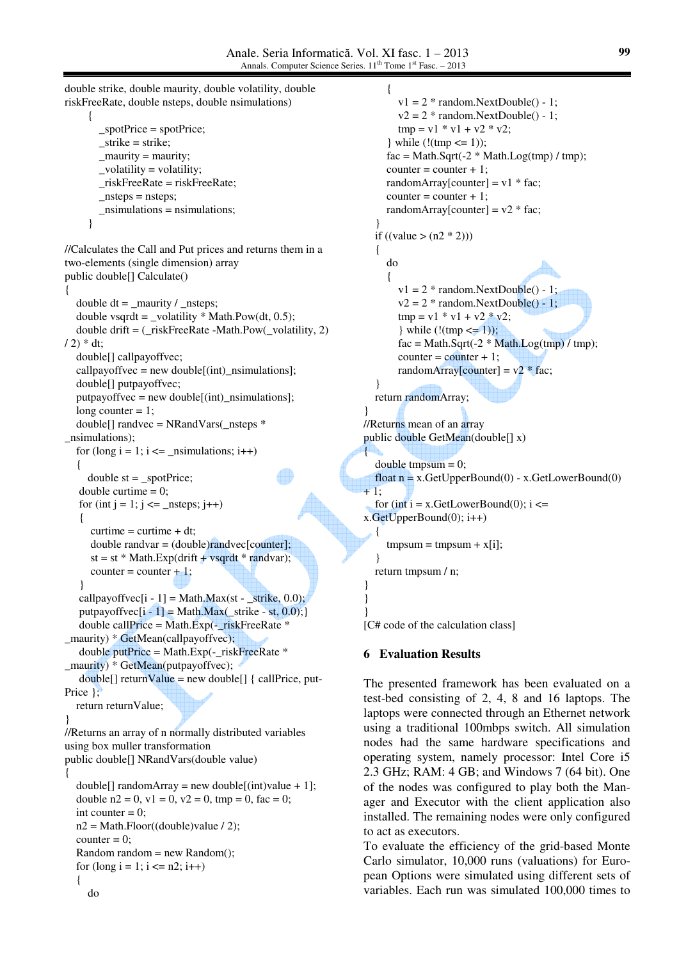}

{

} } }

double strike, double maurity, double volatility, double riskFreeRate, double nsteps, double nsimulations)  $\left\{ \begin{array}{c} \end{array} \right\}$  \_spotPrice = spotPrice;  $_$  \_strike = strike;  $_$  maurity = maurity; \_volatility = volatility; \_riskFreeRate = riskFreeRate;  $nsteps = nsteps;$  $nsimulations = nsimulations;$  } //Calculates the Call and Put prices and returns them in a two-elements (single dimension) array public double[] Calculate() { double  $dt = \text{matrix} / \text{__nsteps};$ double vsqrdt = \_volatility  $*$  Math.Pow(dt, 0.5); double drift = (\_riskFreeRate -Math.Pow(\_volatility, 2)  $(2) * dt;$  double[] callpayoffvec; callpayoffvec = new double $[(int)$  nsimulations]; double[] putpayoffvec;  $putpayoffvec = new double[(int)_{nsimulations}]$ ; long counter  $= 1$ ; double<sup>[]</sup> randvec = NRandVars( $n$ steps  $*$ \_nsimulations); for (long  $i = 1$ ;  $i \le j$  \_nsimulations;  $i$ ++)  $\{$ double  $st = \text{spotPrice}$ ; double curtime  $= 0$ ; for (int  $j = 1$ ;  $j \le j$  \_nsteps;  $j++)$  {  $curtime = \text{cuttime} + dt$ ;  $double$  randvar =  $(double)$ randvec $[counter]$ ;  $st = st * Math. Exp(drift + vsqrt * randvar);$  $counter = counter + 1;$  } callpayoffvec[i - 1] = Math.Max(st - strike, 0.0);  $putpayoffvec[i - 1] = Math.Max(\_strikel - st, 0.0);$  double callPrice = Math.Exp(-\_riskFreeRate \* maurity) \* GetMean(callpayoffvec); double putPrice = Math. $Exp(-$ riskFreeRate  $*$ \_maurity) \* GetMean(putpayoffvec);  $double[]$  returnValue = new double $[]$  { callPrice, put-Price  $\}$ : return returnValue; } //Returns an array of n normally distributed variables using box muller transformation public double[] NRandVars(double value) { double[] randomArray = new double[(int)value + 1]; double  $n2 = 0$ ,  $v1 = 0$ ,  $v2 = 0$ ,  $tmp = 0$ ,  $fac = 0$ ; int counter  $= 0$ ;  $n2 = Math.Floor((double) value / 2);$ counter  $= 0$ : Random random  $=$  new Random $($ ); for  $(\text{long } i = 1; i \leq n2; i++)$  { do

 {  $v1 = 2$  \* random. Next Double() - 1;  $v2 = 2 * random.NextDouble() - 1;$  $tmp = v1 * v1 + v2 * v2;$ } while (!(tmp <= 1));  $fac = Math.Sqrt(-2 * Math.Log(tmp) / tmp);$  $counter = counter + 1;$ randomArray[counter] =  $v1 * fac$ ;  $counter = counter + 1;$ randomArray[counter] =  $v2 * fac$ ; } if ((value  $> (n2 * 2))$ ) { do {  $v1 = 2$  \* random. Next Double() - 1;  $v2 = 2$  \* random. Next Double() - 1;  $tmp = v1 * v1 + v2 * v2;$ } while (!(tmp <= 1));  $fac = Math.Sqrt(-2 * Math.Log(tmp) / tmp);$  $counter = counter + 1;$ randomArray[counter] =  $v2 * fac$ ; } return randomArray; //Returns mean of an array public double GetMean(double[] x) double  $t$ mpsum = 0; float  $n = x.GetUpperBound(0) - x.GetLowerBound(0)$  $+1;$ for (int i = x.GetLowerBound(0);  $i \le$ x.GetUpperBound(0); i++)  $\rightarrow$  {  $t$ mpsum =  $t$ mpsum +  $x[i]$ ; } return tmpsum / n;

[C# code of the calculation class]

## **6 Evaluation Results**

The presented framework has been evaluated on a test-bed consisting of 2, 4, 8 and 16 laptops. The laptops were connected through an Ethernet network using a traditional 100mbps switch. All simulation nodes had the same hardware specifications and operating system, namely processor: Intel Core i5 2.3 GHz; RAM: 4 GB; and Windows 7 (64 bit). One of the nodes was configured to play both the Manager and Executor with the client application also installed. The remaining nodes were only configured to act as executors.

To evaluate the efficiency of the grid-based Monte Carlo simulator, 10,000 runs (valuations) for European Options were simulated using different sets of variables. Each run was simulated 100,000 times to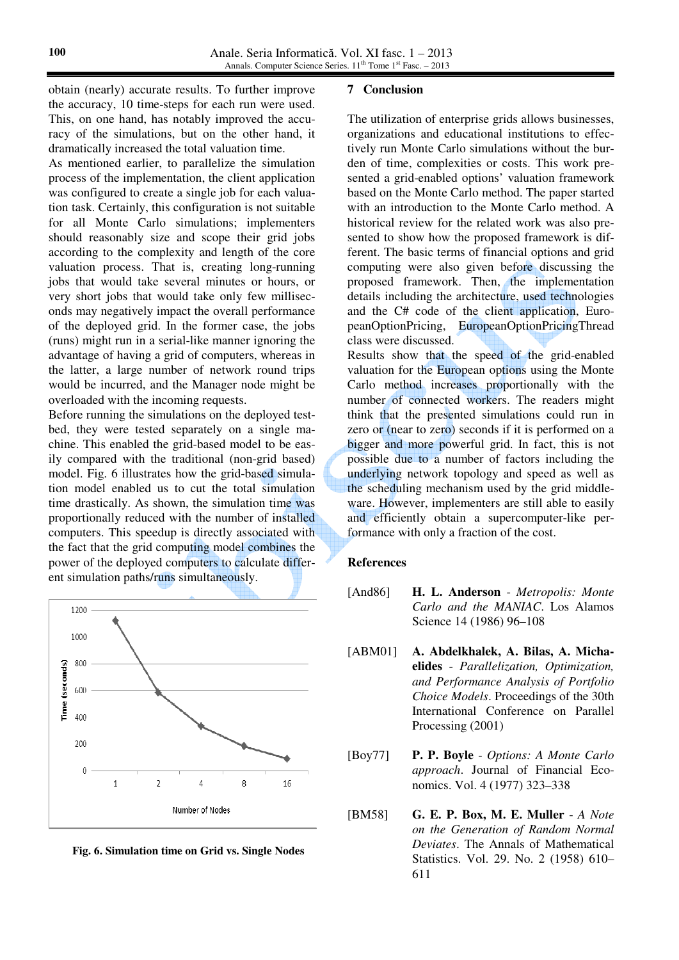obtain (nearly) accurate results. To further improve the accuracy, 10 time-steps for each run were used. This, on one hand, has notably improved the accuracy of the simulations, but on the other hand, it dramatically increased the total valuation time.

As mentioned earlier, to parallelize the simulation process of the implementation, the client application was configured to create a single job for each valuation task. Certainly, this configuration is not suitable for all Monte Carlo simulations; implementers should reasonably size and scope their grid jobs according to the complexity and length of the core valuation process. That is, creating long-running jobs that would take several minutes or hours, or very short jobs that would take only few milliseconds may negatively impact the overall performance of the deployed grid. In the former case, the jobs (runs) might run in a serial-like manner ignoring the advantage of having a grid of computers, whereas in the latter, a large number of network round trips would be incurred, and the Manager node might be overloaded with the incoming requests.

Before running the simulations on the deployed testbed, they were tested separately on a single machine. This enabled the grid-based model to be easily compared with the traditional (non-grid based) model. Fig. 6 illustrates how the grid-based simulation model enabled us to cut the total simulation time drastically. As shown, the simulation time was proportionally reduced with the number of installed computers. This speedup is directly associated with the fact that the grid computing model combines the power of the deployed computers to calculate different simulation paths/runs simultaneously.



**Fig. 6. Simulation time on Grid vs. Single Nodes**

#### **7 Conclusion**

The utilization of enterprise grids allows businesses, organizations and educational institutions to effectively run Monte Carlo simulations without the burden of time, complexities or costs. This work presented a grid-enabled options' valuation framework based on the Monte Carlo method. The paper started with an introduction to the Monte Carlo method. A historical review for the related work was also presented to show how the proposed framework is different. The basic terms of financial options and grid computing were also given before discussing the proposed framework. Then, the implementation details including the architecture, used technologies and the C# code of the client application, EuropeanOptionPricing, EuropeanOptionPricingThread class were discussed.

Results show that the speed of the grid-enabled valuation for the European options using the Monte Carlo method increases proportionally with the number of connected workers. The readers might think that the presented simulations could run in zero or (near to zero) seconds if it is performed on a bigger and more powerful grid. In fact, this is not possible due to a number of factors including the underlying network topology and speed as well as the scheduling mechanism used by the grid middleware. However, implementers are still able to easily and efficiently obtain a supercomputer-like performance with only a fraction of the cost.

#### **References**

[And86] **H. L. Anderson** - *Metropolis: Monte Carlo and the MANIAC*. Los Alamos Science 14 (1986) 96–108

- [ABM01] **A. Abdelkhalek, A. Bilas, A. Michaelides** - *Parallelization, Optimization, and Performance Analysis of Portfolio Choice Models*. Proceedings of the 30th International Conference on Parallel Processing (2001)
- [Boy77] **P. P. Boyle** *Options: A Monte Carlo approach*. Journal of Financial Economics. Vol. 4 (1977) 323–338
- [BM58] **G. E. P. Box, M. E. Muller** *A Note on the Generation of Random Normal Deviates*. The Annals of Mathematical Statistics. Vol. 29. No. 2 (1958) 610– 611